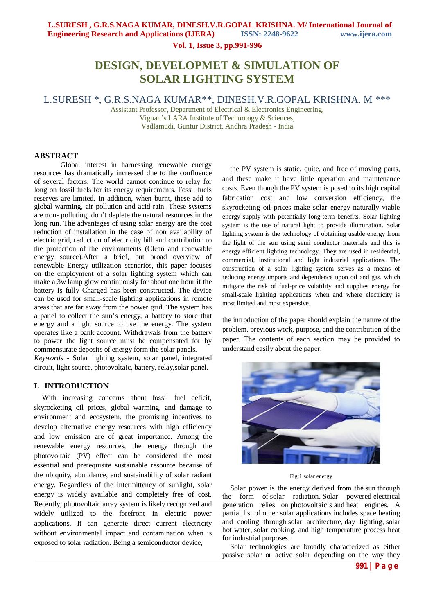**Vol. 1, Issue 3, pp.991-996**

# **DESIGN, DEVELOPMET & SIMULATION OF SOLAR LIGHTING SYSTEM**

L.SURESH \*, G.R.S.NAGA KUMAR\*\*, DINESH.V.R.GOPAL KRISHNA. M \*\*\*

Assistant Professor, Department of Electrical & Electronics Engineering, Vignan's LARA Institute of Technology & Sciences, Vadlamudi, Guntur District, Andhra Pradesh - India

### **ABSTRACT**

Global interest in harnessing renewable energy resources has dramatically increased due to the confluence of several factors. The world cannot continue to relay for long on fossil fuels for its energy requirements. Fossil fuels reserves are limited. In addition, when burnt, these add to global warming, air pollution and acid rain. These systems are non- polluting, don't deplete the natural resources in the long run. The advantages of using solar energy are the cost reduction of installation in the case of non availability of electric grid, reduction of electricity bill and contribution to the protection of the environments (Clean and renewable energy source).After a brief, but broad overview of renewable Energy utilization scenarios, this paper focuses on the employment of a solar lighting system which can make a 3w lamp glow continuously for about one hour if the battery is fully Charged has been constructed. The device can be used for small-scale lighting applications in remote areas that are far away from the power grid. The system has a panel to collect the sun's energy, a battery to store that energy and a light source to use the energy. The system operates like a bank account. Withdrawals from the battery to power the light source must be compensated for by commensurate deposits of energy form the solar panels. *Keywords* - Solar lighting system, solar panel, integrated circuit, light source, photovoltaic, battery, relay,solar panel.

#### **I. INTRODUCTION**

With increasing concerns about fossil fuel deficit, skyrocketing oil prices, global warming, and damage to environment and ecosystem, the promising incentives to develop alternative energy resources with high efficiency and low emission are of great importance. Among the renewable energy resources, the energy through the photovoltaic (PV) effect can be considered the most essential and prerequisite sustainable resource because of the ubiquity, abundance, and sustainability of solar radiant energy. Regardless of the intermittency of sunlight, solar energy is widely available and completely free of cost. Recently, photovoltaic array system is likely recognized and widely utilized to the forefront in electric power applications. It can generate direct current electricity without environmental impact and contamination when is exposed to solar radiation. Being a semiconductor device,

the PV system is static, quite, and free of moving parts, and these make it have little operation and maintenance costs. Even though the PV system is posed to its high capital fabrication cost and low conversion efficiency, the skyrocketing oil prices make solar energy naturally viable energy supply with potentially long-term benefits. Solar lighting system is the use of natural light to provide illumination. Solar lighting system is the technology of obtaining usable energy from the light of the sun using semi conductor materials and this is energy efficient lighting technology. They are used in residential, commercial, institutional and light industrial applications. The construction of a solar lighting system serves as a means of reducing energy imports and dependence upon oil and gas, which mitigate the risk of fuel-price volatility and supplies energy for small-scale lighting applications when and where electricity is most limited and most expensive.

the introduction of the paper should explain the nature of the problem, previous work, purpose, and the contribution of the paper. The contents of each section may be provided to understand easily about the paper.



Fig:1 solar energy

Solar power is the energy derived from the sun through the form of solar radiation. Solar powered electrical generation relies on photovoltaic's and heat engines. A partial list of other solar applications includes space heating and cooling through solar architecture, day lighting, solar hot water, solar cooking, and high temperature process heat for industrial purposes.

Solar technologies are broadly characterized as either passive solar or active solar depending on the way they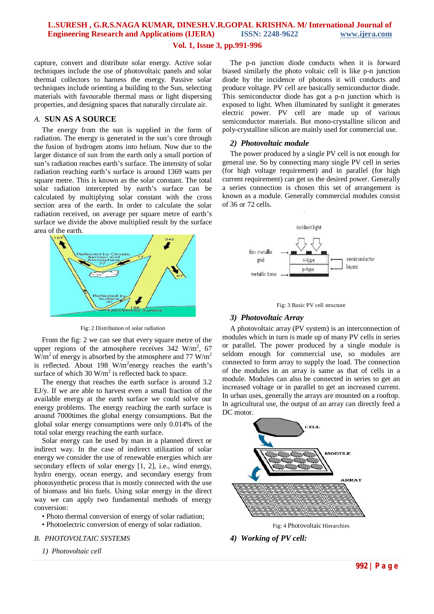### **Vol. 1, Issue 3, pp.991-996**

capture, convert and distribute solar energy. Active solar techniques include the use of photovoltaic panels and solar thermal collectors to harness the energy. Passive solar techniques include orienting a building to the Sun, selecting materials with favourable thermal mass or light dispersing properties, and designing spaces that naturally circulate air.

### *A.* **SUN AS A SOURCE**

The energy from the sun is supplied in the form of radiation. The energy is generated in the sun's core through the fusion of hydrogen atoms into helium. Now due to the larger distance of sun from the earth only a small portion of sun's radiation reaches earth's surface. The intensity of solar radiation reaching earth's surface is around 1369 watts per square metre. This is known as the solar constant. The total solar radiation intercepted by earth's surface can be calculated by multiplying solar constant with the cross section area of the earth. In order to calculate the solar radiation received, on average per square metre of earth's surface we divide the above multiplied result by the surface area of the earth.



Fig: 2 Distribution of solar radiation

From the fig: 2 we can see that every square metre of the upper regions of the atmosphere receives  $342 \text{ W/m}^2$ , 67  $W/m<sup>2</sup>$  of energy is absorbed by the atmosphere and 77 W/m<sup>2</sup> is reflected. About 198 W/m<sup>2</sup>energy reaches the earth's surface of which 30  $W/m^2$  is reflected back to space.

The energy that reaches the earth surface is around 3.2 EJ/y. If we are able to harvest even a small fraction of the available energy at the earth surface we could solve our energy problems. The energy reaching the earth surface is around 7000times the global energy consumptions. But the global solar energy consumptions were only 0.014% of the total solar energy reaching the earth surface.

Solar energy can be used by man in a planned direct or indirect way. In the case of indirect utilization of solar energy we consider the use of renewable energies which are secondary effects of solar energy [1, 2], i.e., wind energy, hydro energy, ocean energy, and secondary energy from photosynthetic process that is mostly connected with the use of biomass and bio fuels. Using solar energy in the direct way we can apply two fundamental methods of energy conversion:

- Photo thermal conversion of energy of solar radiation;
- Photoelectric conversion of energy of solar radiation.

#### *B. PHOTOVOLTAIC SYSTEMS*

*1) Photovoltaic cell* 

The p-n junction diode conducts when it is forward biased similarly the photo voltaic cell is like p-n junction diode by the incidence of photons it will conducts and produce voltage. PV cell are basically semiconductor diode. This semiconductor diode has got a p-n junction which is exposed to light. When illuminated by sunlight it generates electric power. PV cell are made up of various semiconductor materials. But mono-crystalline silicon and poly-crystalline silicon are mainly used for commercial use.

### *2) Photovoltaic module*

The power produced by a single PV cell is not enough for general use. So by connecting many single PV cell in series (for high voltage requirement) and in parallel (for high current requirement) can get us the desired power. Generally a series connection is chosen this set of arrangement is known as a module. Generally commercial modules consist of 36 or 72 cells.





### *3) Photovoltaic Array*

A photovoltaic array (PV system) is an interconnection of modules which in turn is made up of many PV cells in series or parallel. The power produced by a single module is seldom enough for commercial use, so modules are connected to form array to supply the load. The connection of the modules in an array is same as that of cells in a module. Modules can also be connected in series to get an increased voltage or in parallel to get an increased current. In urban uses, generally the arrays are mounted on a rooftop. In agricultural use, the output of an array can directly feed a DC motor.



Fig: 4 Photovoltaic Hierarchies

*4) Working of PV cell:*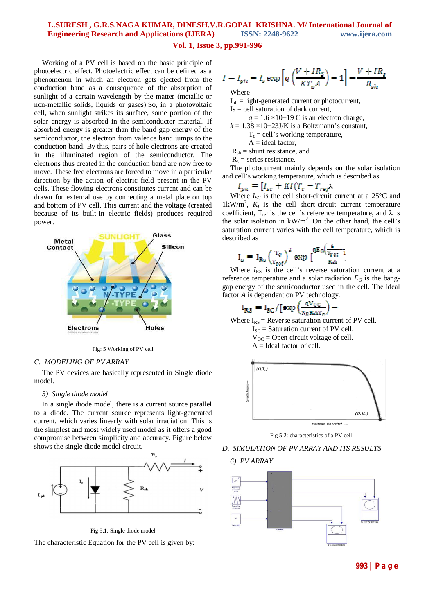#### **Vol. 1, Issue 3, pp.991-996**

Working of a PV cell is based on the basic principle of photoelectric effect. Photoelectric effect can be defined as a phenomenon in which an electron gets ejected from the conduction band as a consequence of the absorption of sunlight of a certain wavelength by the matter (metallic or non-metallic solids, liquids or gases).So, in a photovoltaic cell, when sunlight strikes its surface, some portion of the solar energy is absorbed in the semiconductor material. If absorbed energy is greater than the band gap energy of the semiconductor, the electron from valence band jumps to the conduction band. By this, pairs of hole-electrons are created in the illuminated region of the semiconductor. The electrons thus created in the conduction band are now free to move. These free electrons are forced to move in a particular direction by the action of electric field present in the PV cells. These flowing electrons constitutes current and can be drawn for external use by connecting a metal plate on top and bottom of PV cell. This current and the voltage (created because of its built-in electric fields) produces required power.



Fig: 5 Working of PV cell

#### *C. MODELING OF PV ARRAY*

The PV devices are basically represented in Single diode model.

#### *5) Single diode model*

In a single diode model, there is a current source parallel to a diode. The current source represents light-generated current, which varies linearly with solar irradiation. This is the simplest and most widely used model as it offers a good compromise between simplicity and accuracy. Figure below shows the single diode model circuit.



Fig 5.1: Single diode model

The characteristic Equation for the PV cell is given by:

$$
I = I_{ph} - I_s \exp\left[q\left(\frac{V + IR_S}{KT_eA}\right) - 1\right] - \frac{V + IR_s}{R_{sh}}
$$

Where

 $I_{\text{ph}} =$  light-generated current or photocurrent,

 $Is = cell saturation of dark current,$ 

*q* = 1.6 ×10−19 C is an electron charge, *k* = 1.38 ×10−23J/K is a Boltzmann's constant,

 $T_c$  = cell's working temperature,

 $A = ideal factor$ ,

 $R_{sh}$  = shunt resistance, and

 $R<sub>s</sub>$  = series resistance.

The photocurrent mainly depends on the solar isolation and cell's working temperature, which is described as

$$
I_{ph} = [I_{sc} + K I (T_c - T_{ref}) \lambda]
$$

Where  $I_{\text{SC}}$  is the cell short-circuit current at a  $25^{\circ}$ C and  $1 \text{kW/m}^2$ ,  $K_I$  is the cell short-circuit current temperature coefficient, T<sub>ref</sub> is the cell's reference temperature, and  $\lambda$  is the solar isolation in  $kW/m^2$ . On the other hand, the cell's saturation current varies with the cell temperature, which is described as

$$
I_{\text{s}} = I_{\text{Rs}} \left(\frac{T_{\text{c}}}{T_{\text{ref}}}\right)^3 \exp{[\frac{qE_0(\frac{a}{T_{\text{ref}}-i}}{KA}]}
$$

Where  $I_{RS}$  is the cell's reverse saturation current at a reference temperature and a solar radiation  $E_G$  is the banggap energy of the semiconductor used in the cell. The ideal factor *A* is dependent on PV technology.

$$
I_{RS} = I_{SC}/[\exp(\frac{qV_{OC}}{N_S K A T_C}) -
$$

Where  $I_{RS}$  = Reverse saturation current of PV cell.

 $I_{SC}$  = Saturation current of PV cell.

 $V_{OC}$  = Open circuit voltage of cell.

 $A =$ Ideal factor of cell.



Fig 5.2: characteristics of a PV cell

### *D. SIMULATION OF PV ARRAY AND ITS RESULTS*

*6) PV ARRAY*

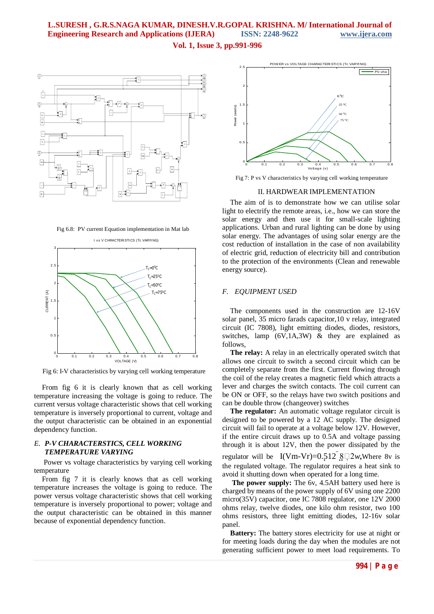### **Vol. 1, Issue 3, pp.991-996**



Fig 6.8: PV current Equation implementation in Mat lab



Fig 6: I-V characteristics by varying cell working temperature

From fig 6 it is clearly known that as cell working temperature increasing the voltage is going to reduce. The current versus voltage characteristic shows that cell working temperature is inversely proportional to current, voltage and the output characteristic can be obtained in an exponential dependency function.

#### *E. P-V CHARACTERSTICS, CELL WORKING TEMPERATURE VARYING*

Power vs voltage characteristics by varying cell working temperature

From fig 7 it is clearly knows that as cell working temperature increases the voltage is going to reduce. The power versus voltage characteristic shows that cell working temperature is inversely proportional to power; voltage and the output characteristic can be obtained in this manner because of exponential dependency function.



Fig 7: P vs V characteristics by varying cell working temperature

#### II. HARDWEAR IMPLEMENTATION

The aim of is to demonstrate how we can utilise solar light to electrify the remote areas, i.e., how we can store the solar energy and then use it for small-scale lighting applications. Urban and rural lighting can be done by using solar energy. The advantages of using solar energy are the cost reduction of installation in the case of non availability of electric grid, reduction of electricity bill and contribution to the protection of the environments (Clean and renewable energy source).

#### *F. EQUIPMENT USED*

The components used in the construction are 12-16V solar panel, 35 micro farads capacitor,10 v relay, integrated circuit (IC 7808), light emitting diodes, diodes, resistors, switches, lamp  $(6V, 1A, 3W)$  & they are explained as follows,

**The relay:** A relay in an electrically operated switch that allows one circuit to switch a second circuit which can be completely separate from the first. Current flowing through the coil of the relay creates a magnetic field which attracts a lever and charges the switch contacts. The coil current can be ON or OFF, so the relays have two switch positions and can be double throw (changeover) switches

**The regulator:** An automatic voltage regulator circuit is designed to be powered by a 12 AC supply. The designed circuit will fail to operate at a voltage below 12V. However, if the entire circuit draws up to 0.5A and voltage passing through it is about 12V, then the power dissipated by the regulator will be  $I(Vm-Vr)=0.512$   $$\square 2w$ , Where 8v is

the regulated voltage. The regulator requires a heat sink to avoid it shutting down when operated for a long time.

**The power supply:** The 6v, 4.5AH battery used here is charged by means of the power supply of 6V using one 2200 micro(35V) capacitor, one IC 7808 regulator, one 12V 2000 ohms relay, twelve diodes, one kilo ohm resistor, two 100 ohms resistors, three light emitting diodes, 12-16v solar panel.

**Battery:** The battery stores electricity for use at night or for meeting loads during the day when the modules are not generating sufficient power to meet load requirements. To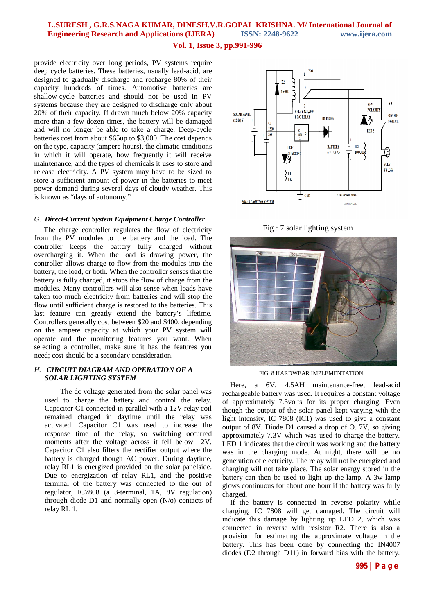#### **Vol. 1, Issue 3, pp.991-996**

provide electricity over long periods, PV systems require deep cycle batteries. These batteries, usually lead-acid, are designed to gradually discharge and recharge 80% of their capacity hundreds of times. Automotive batteries are shallow-cycle batteries and should not be used in PV systems because they are designed to discharge only about 20% of their capacity. If drawn much below 20% capacity more than a few dozen times, the battery will be damaged and will no longer be able to take a charge. Deep-cycle batteries cost from about \$65up to \$3,000. The cost depends on the type, capacity (ampere-hours), the climatic conditions in which it will operate, how frequently it will receive maintenance, and the types of chemicals it uses to store and release electricity. A PV system may have to be sized to store a sufficient amount of power in the batteries to meet power demand during several days of cloudy weather. This is known as "days of autonomy."

#### *G. Direct-Current System Equipment Charge Controller*

The charge controller regulates the flow of electricity from the PV modules to the battery and the load. The controller keeps the battery fully charged without overcharging it. When the load is drawing power, the controller allows charge to flow from the modules into the battery, the load, or both. When the controller senses that the battery is fully charged, it stops the flow of charge from the modules. Many controllers will also sense when loads have taken too much electricity from batteries and will stop the flow until sufficient charge is restored to the batteries. This last feature can greatly extend the battery's lifetime. Controllers generally cost between \$20 and \$400, depending on the ampere capacity at which your PV system will operate and the monitoring features you want. When selecting a controller, make sure it has the features you need; cost should be a secondary consideration.

### *H. CIRCUIT DIAGRAM AND OPERATION OF A SOLAR LIGHTING SYSTEM*

The dc voltage generated from the solar panel was used to charge the battery and control the relay. Capacitor C1 connected in parallel with a 12V relay coil remained charged in daytime until the relay was activated. Capacitor C1 was used to increase the response time of the relay, so switching occurred moments after the voltage across it fell below 12V. Capacitor C1 also filters the rectifier output where the battery is charged though AC power. During daytime, relay RL1 is energized provided on the solar panelside. Due to energization of relay RL1, and the positive terminal of the battery was connected to the out of regulator, IC7808 (a 3-terminal, 1A, 8V regulation) through diode D1 and normally-open (N/o) contacts of relay RL 1.



Fig : 7 solar lighting system



FIG: 8 HARDWEAR IMPLEMENTATION

Here, a 6V, 4.5AH maintenance-free, lead-acid rechargeable battery was used. It requires a constant voltage of approximately 7.3volts for its proper charging. Even though the output of the solar panel kept varying with the light intensity, IC 7808 (IC1) was used to give a constant output of 8V. Diode D1 caused a drop of O. 7V, so giving approximately 7.3V which was used to charge the battery. LED 1 indicates that the circuit was working and the battery was in the charging mode. At night, there will be no generation of electricity. The relay will not be energized and charging will not take place. The solar energy stored in the battery can then be used to light up the lamp. A 3w lamp glows continuous for about one hour if the battery was fully charged.

If the battery is connected in reverse polarity while charging, IC 7808 will get damaged. The circuit will indicate this damage by lighting up LED 2, which was connected in reverse with resistor R2. There is also a provision for estimating the approximate voltage in the battery. This has been done by connecting the IN4007 diodes (D2 through D11) in forward bias with the battery.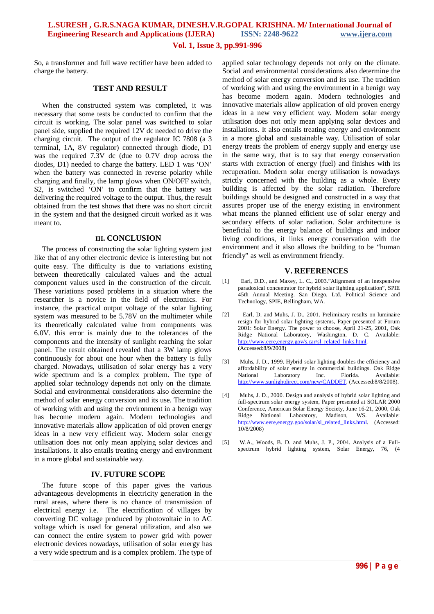#### **Vol. 1, Issue 3, pp.991-996**

So, a transformer and full wave rectifier have been added to charge the battery.

### **TEST AND RESULT**

When the constructed system was completed, it was necessary that some tests be conducted to confirm that the circuit is working. The solar panel was switched to solar panel side, supplied the required 12V dc needed to drive the charging circuit. The output of the regulator IC 7808 (a 3 terminal, 1A, 8V regulator) connected through diode, D1 was the required 7.3V dc (due to 0.7V drop across the diodes, D1) needed to charge the battery. LED 1 was 'ON' when the battery was connected in reverse polarity while charging and finally, the lamp glows when ON/OFF switch, S2, is switched 'ON' to confirm that the battery was delivering the required voltage to the output. Thus, the result obtained from the test shows that there was no short circuit in the system and that the designed circuit worked as it was meant to.

#### **III. CONCLUSION**

The process of constructing the solar lighting system just like that of any other electronic device is interesting but not quite easy. The difficulty is due to variations existing between theoretically calculated values and the actual component values used in the construction of the circuit. These variations posed problems in a situation where the researcher is a novice in the field of electronics. For instance, the practical output voltage of the solar lighting system was measured to be 5.78V on the multimeter while its theoretically calculated value from components was 6.0V. this error is mainly due to the tolerances of the components and the intensity of sunlight reaching the solar panel. The result obtained revealed that a 3W lamp glows continuously for about one hour when the battery is fully charged. Nowadays, utilisation of solar energy has a very wide spectrum and is a complex problem. The type of applied solar technology depends not only on the climate. Social and environmental considerations also determine the method of solar energy conversion and its use. The tradition of working with and using the environment in a benign way has become modern again. Modern technologies and innovative materials allow application of old proven energy ideas in a new very efficient way. Modern solar energy utilisation does not only mean applying solar devices and installations. It also entails treating energy and environment in a more global and sustainable way.

#### **IV. FUTURE SCOPE**

The future scope of this paper gives the various advantageous developments in electricity generation in the rural areas, where there is no chance of transmission of electrical energy i.e. The electrification of villages by converting DC voltage produced by photovoltaic in to AC voltage which is used for general utilization, and also we can connect the entire system to power grid with power electronic devices nowadays, utilisation of solar energy has a very wide spectrum and is a complex problem. The type of

applied solar technology depends not only on the climate. Social and environmental considerations also determine the method of solar energy conversion and its use. The tradition of working with and using the environment in a benign way has become modern again. Modern technologies and innovative materials allow application of old proven energy ideas in a new very efficient way. Modern solar energy utilisation does not only mean applying solar devices and installations. It also entails treating energy and environment in a more global and sustainable way. Utilisation of solar energy treats the problem of energy supply and energy use in the same way, that is to say that energy conservation starts with extraction of energy (fuel) and finishes with its recuperation. Modern solar energy utilisation is nowadays strictly concerned with the building as a whole. Every building is affected by the solar radiation. Therefore buildings should be designed and constructed in a way that assures proper use of the energy existing in environment what means the planned efficient use of solar energy and secondary effects of solar radiation. Solar architecture is beneficial to the energy balance of buildings and indoor living conditions, it links energy conservation with the environment and it also allows the building to be "human friendly" as well as environment friendly.

#### **V. REFERENCES**

- [1] Earl, D.D., and Maxey, L. C., 2003."Alignment of an inexpensive paradoxical concentrator for hybrid solar lighting application", SPIE 45th Annual Meeting. San Diego, Ltd. Political Science and Technology, SPIE, Bellingham, WA.
- [2] Earl, D. and Muhs, J. D., 2001. Preliminary results on luminaire resign for hybrid solar lighting systems, Paper presented at Forum 2001: Solar Energy. The power to choose, April 21-25, 2001, Oak Ridge National Laboratory, Washington, D. C. Available: http://www.eere,energy.gov/s.car/sl\_related\_links.html. (Accessed:8/9/2008)
- [3] Muhs, J. D., 1999. Hybrid solar lighting doubles the efficiency and affordability of solar energy in commercial buildings. Oak Ridge National Laboratory Inc. Florida. Available: http://www.sunlightdirect.com/new/CADDET. (Accessed:8/8/2008).
- [4] Muhs, J. D., 2000. Design and analysis of hybrid solar lighting and full-spectrum solar energy system, Paper presented at SOLAR 2000 Conference, American Solar Energy Society*,* June 16-21, 2000, Oak Ridge National Laboratory, Madison, WS. Available: http://www.eere,energy.goo/solar/sl\_related\_links.html. (Accessed: 10/8/2008)
- [5] W.A., Woods, B. D. and Muhs, J. P., 2004. Analysis of a Fullspectrum hybrid lighting system, Solar Energy, 76, (4